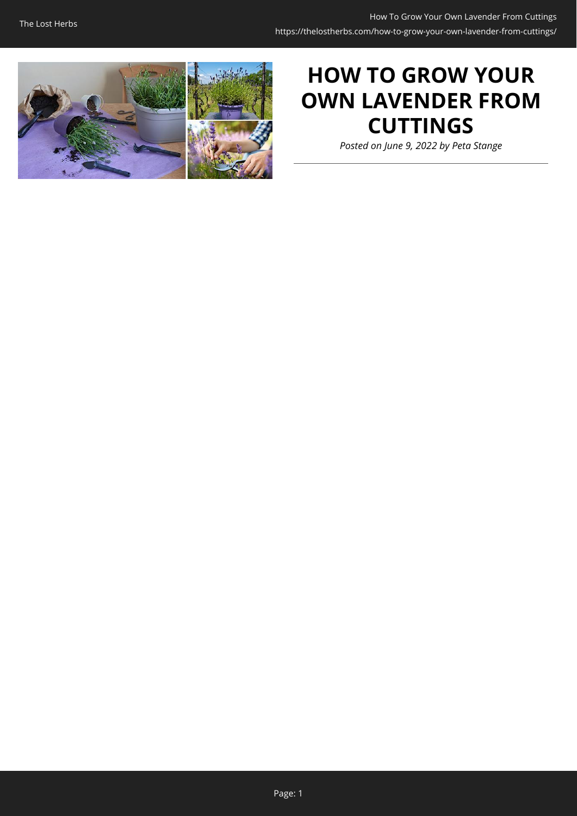

# **HOW TO GROW YOUR OWN LAVENDER FROM CUTTINGS**

*Posted on June 9, 2022 by Peta Stange*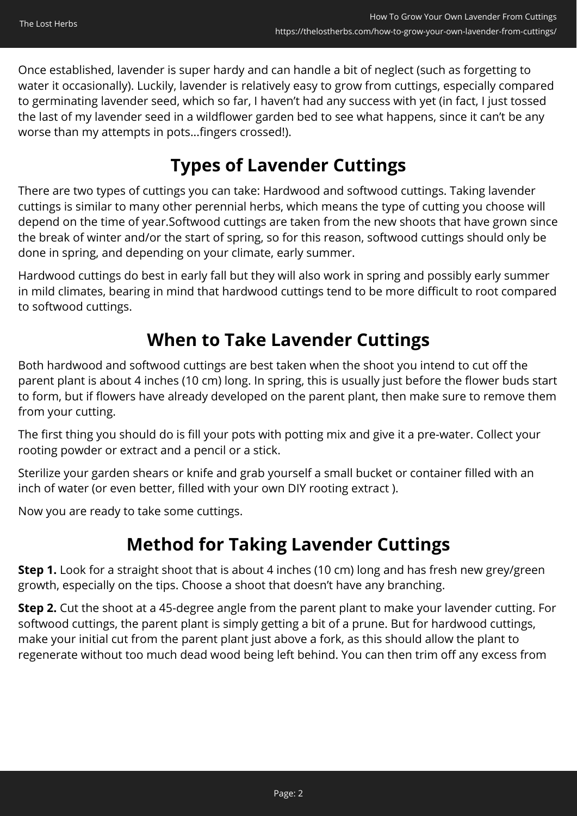Once established, lavender is super hardy and can handle a bit of neglect (such as forgetting to water it occasionally). Luckily, lavender is relatively easy to grow from cuttings, especially compared to germinating lavender seed, which so far, I haven't had any success with yet (in fact, I just tossed the last of my lavender seed in a wildflower garden bed to see what happens, since it can't be any worse than my attempts in pots...fingers crossed!).

## **Types of Lavender Cuttings**

There are two types of cuttings you can take: Hardwood and softwood cuttings. Taking lavender cuttings is similar to many other perennial herbs, which means the type of cutting you choose will depend on the time of year.Softwood cuttings are taken from the new shoots that have grown since the break of winter and/or the start of spring, so for this reason, softwood cuttings should only be done in spring, and depending on your climate, early summer.

Hardwood cuttings do best in early fall but they will also work in spring and possibly early summer in mild climates, bearing in mind that hardwood cuttings tend to be more difficult to root compared to softwood cuttings.

### **When to Take Lavender Cuttings**

Both hardwood and softwood cuttings are best taken when the shoot you intend to cut off the parent plant is about 4 inches (10 cm) long. In spring, this is usually just before the flower buds start to form, but if flowers have already developed on the parent plant, then make sure to remove them from your cutting.

The first thing you should do is fill your pots with potting mix and give it a pre-water. Collect your rooting powder or extract and a pencil or a stick.

Sterilize your garden shears or knife and grab yourself a small bucket or container filled with an inch of water (or even better, filled with your own DIY rooting extract ).

Now you are ready to take some cuttings.

### **Method for Taking Lavender Cuttings**

**Step 1.** Look for a straight shoot that is about 4 inches (10 cm) long and has fresh new grey/green growth, especially on the tips. Choose a shoot that doesn't have any branching.

**Step 2.** Cut the shoot at a 45-degree angle from the parent plant to make your lavender cutting. For softwood cuttings, the parent plant is simply getting a bit of a prune. But for hardwood cuttings, make your initial cut from the parent plant just above a fork, as this should allow the plant to regenerate without too much dead wood being left behind. You can then trim off any excess from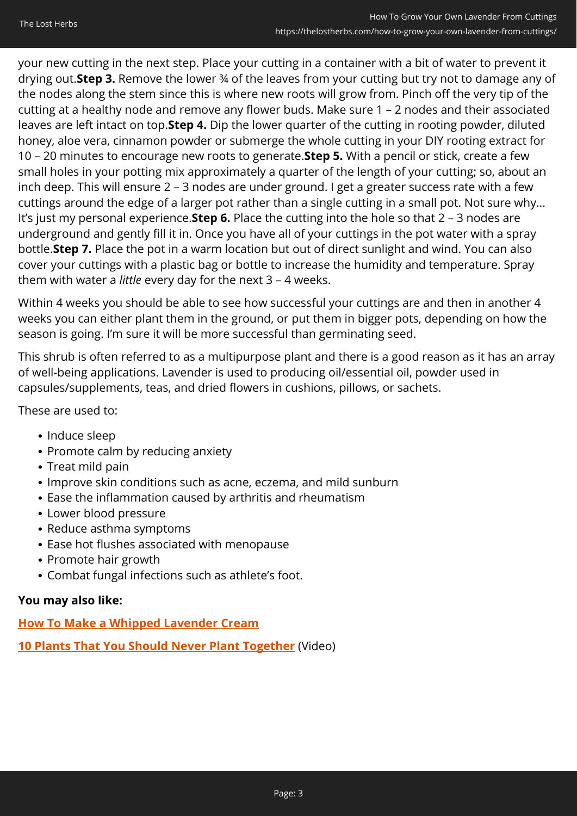your new cutting in the next step. Place your cutting in a container with a bit of water to prevent it drying out.**Step 3.** Remove the lower ¾ of the leaves from your cutting but try not to damage any of the nodes along the stem since this is where new roots will grow from. Pinch off the very tip of the cutting at a healthy node and remove any flower buds. Make sure 1 – 2 nodes and their associated leaves are left intact on top.**Step 4.** Dip the lower quarter of the cutting in rooting powder, diluted honey, aloe vera, cinnamon powder or submerge the whole cutting in your DIY rooting extract for 10 – 20 minutes to encourage new roots to generate.**Step 5.** With a pencil or stick, create a few small holes in your potting mix approximately a quarter of the length of your cutting; so, about an inch deep. This will ensure 2 – 3 nodes are under ground. I get a greater success rate with a few cuttings around the edge of a larger pot rather than a single cutting in a small pot. Not sure why... It's just my personal experience.**Step 6.** Place the cutting into the hole so that 2 – 3 nodes are underground and gently fill it in. Once you have all of your cuttings in the pot water with a spray bottle.**Step 7.** Place the pot in a warm location but out of direct sunlight and wind. You can also cover your cuttings with a plastic bag or bottle to increase the humidity and temperature. Spray them with water a *little* every day for the next 3 – 4 weeks.

Within 4 weeks you should be able to see how successful your cuttings are and then in another 4 weeks you can either plant them in the ground, or put them in bigger pots, depending on how the season is going. I'm sure it will be more successful than germinating seed.

This shrub is often referred to as a multipurpose plant and there is a good reason as it has an array of well-being applications. Lavender is used to producing oil/essential oil, powder used in capsules/supplements, teas, and dried flowers in cushions, pillows, or sachets.

These are used to:

- Induce sleep
- Promote calm by reducing anxiety
- Treat mild pain
- Improve skin conditions such as acne, eczema, and mild sunburn
- Ease the inflammation caused by arthritis and rheumatism
- Lower blood pressure
- Reduce asthma symptoms
- Ease hot flushes associated with menopause
- Promote hair growth
- Combat fungal infections such as athlete's foot.

#### **You may also like:**

#### **[How To Make a Whipped Lavender Cream](https://thelostherbs.com/how-to-make-a-whipped-lavender-hand-cream/)**

**[10 Plants That You Should Never Plant Together](https://hop.clickbank.net/?affiliate=easycellar&vendor=sbackyard&tid=C02GrowingLavenderSSB)** (Video)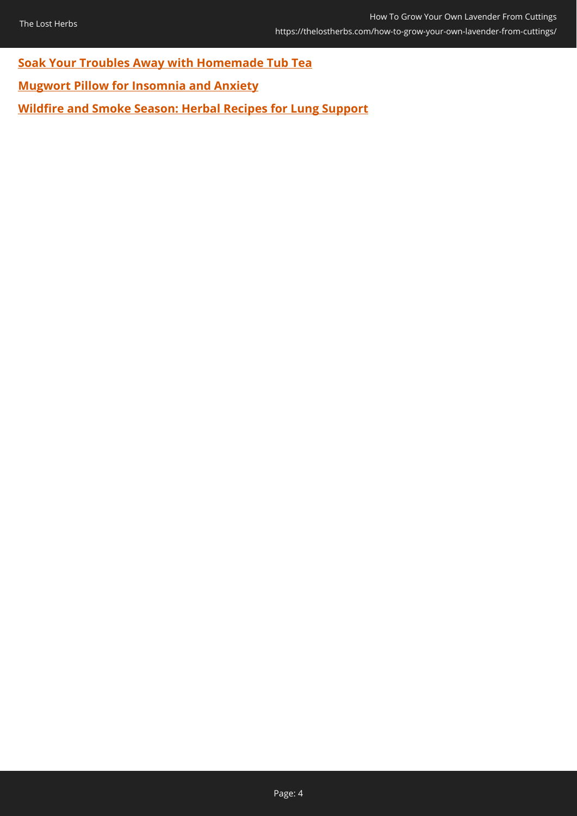**[Soak Your Troubles Away with Homemade Tub Tea](https://thelostherbs.com/soak-your-troubles-away-with-homemade-tub-tea/)**

**[Mugwort Pillow for Insomnia and Anxiety](https://thelostherbs.com/mugwort-pillow-for-insomnia-and-anxiety/)**

**[Wildfire and Smoke Season: Herbal Recipes for Lung Support](https://thelostherbs.com/wildfire-and-smoke-season-herbal-recipes-for-lung-support/)**